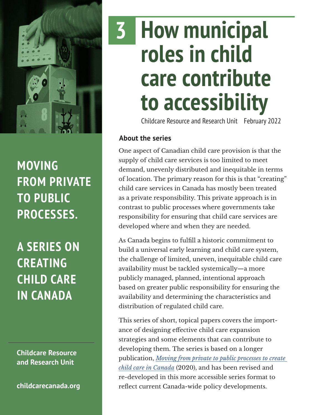

### **MOVING FROM PRIVATE TO PUBLIC PROCESSES.**

**A SERIES ON CREATING CHILD CARE IN CANADA**

**Childcare Resource and Research Unit**

**[childcarecanada.org](http://childcarecanada.org)**

# **How municipal roles in child care contribute to accessibility 3**

Childcare Resource and Research Unit February 2022

#### **About the series**

One aspect of Canadian child care provision is that the supply of child care services is too limited to meet demand, unevenly distributed and inequitable in terms of location. The primary reason for this is that "creating" child care services in Canada has mostly been treated as a private responsibility. This private approach is in contrast to public processes where governments take responsibility for ensuring that child care services are developed where and when they are needed.

As Canada begins to fulfill a historic commitment to build a universal early learning and child care system, the challenge of limited, uneven, inequitable child care availability must be tackled systemically—a more publicly managed, planned, intentional approach based on greater public responsibility for ensuring the availability and determining the characteristics and distribution of regulated child care.

This series of short, topical papers covers the importance of designing effective child care expansion strategies and some elements that can contribute to developing them. The series is based on a longer publication, *[Moving from private to public processes to create](https://childcarecanada.org/publications/other-publications/20/12/moving-private-public-processes-create-child-care-canada)  [child care in Canada](https://childcarecanada.org/publications/other-publications/20/12/moving-private-public-processes-create-child-care-canada)* (2020), and has been revised and re-developed in this more accessible series format to reflect current Canada-wide policy developments.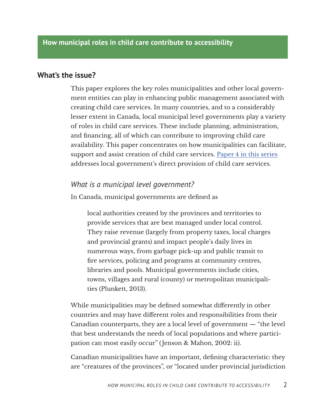#### **What's the issue?**

This paper explores the key roles municipalities and other local government entities can play in enhancing public management associated with creating child care services. In many countries, and to a considerably lesser extent in Canada, local municipal level governments play a variety of roles in child care services. These include planning, administration, and financing, all of which can contribute to improving child care availability. This paper concentrates on how municipalities can facilitate, support and assist creation of child care services. [Paper 4 in this series](https://childcarecanada.org/publications/other-publications/22/02/how-publicly-delivered-child-care-services-contribute) addresses local government's direct provision of child care services.

#### *What is a municipal level government?*

In Canada, municipal governments are defined as

local authorities created by the provinces and territories to provide services that are best managed under local control. They raise revenue (largely from property taxes, local charges and provincial grants) and impact people's daily lives in numerous ways, from garbage pick-up and public transit to fire services, policing and programs at community centres, libraries and pools. Municipal governments include cities, towns, villages and rural (county) or metropolitan municipalities (Plunkett, 2013).

While municipalities may be defined somewhat differently in other countries and may have different roles and responsibilities from their Canadian counterparts, they are a local level of government — "the level that best understands the needs of local populations and where participation can most easily occur" (Jenson & Mahon, 2002: ii).

Canadian municipalities have an important, defining characteristic: they are "creatures of the provinces", or "located under provincial jurisdiction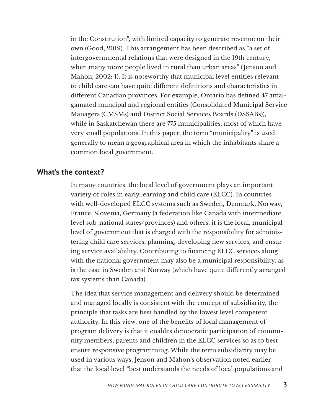in the Constitution", with limited capacity to generate revenue on their own (Good, 2019). This arrangement has been described as "a set of intergovernmental relations that were designed in the 19th century, when many more people lived in rural than urban areas" (Jenson and Mahon, 2002: 1). It is noteworthy that municipal level entities relevant to child care can have quite different definitions and characteristics in different Canadian provinces. For example, Ontario has defined 47 amalgamated muncipal and regional entities (Consolidated Municipal Service Managers (CMSMs) and District Social Services Boards (DSSABs)), while in Saskatchewan there are 775 municipalities, most of which have very small populations. In this paper, the term "municipality" is used generally to mean a geographical area in which the inhabitants share a common local government.

#### **What's the context?**

In many countries, the local level of government plays an important variety of roles in early learning and child care (ELCC). In countries with well-developed ELCC systems such as Sweden, Denmark, Norway, France, Slovenia, Germany (a federation like Canada with intermediate level sub-national states/provinces) and others, it is the local, municipal level of government that is charged with the responsibility for administering child care services, planning, developing new services, and ensuring service availability. Contributing to financing ELCC services along with the national government may also be a municipal responsibility, as is the case in Sweden and Norway (which have quite differently arranged tax systems than Canada).

The idea that service management and delivery should be determined and managed locally is consistent with the concept of subsidiarity, the principle that tasks are best handled by the lowest level competent authority. In this view, one of the benefits of local management of program delivery is that it enables democratic participation of community members, parents and children in the ELCC services so as to best ensure responsive programming. While the term subsidiarity may be used in various ways, Jenson and Mahon's observation noted earlier that the local level "best understands the needs of local populations and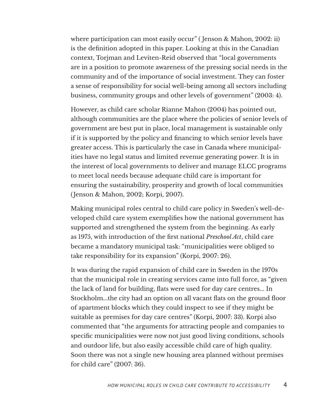where participation can most easily occur" ( Jenson & Mahon, 2002: ii) is the definition adopted in this paper. Looking at this in the Canadian context, Torjman and Leviten-Reid observed that "local governments are in a position to promote awareness of the pressing social needs in the community and of the importance of social investment. They can foster a sense of responsibility for social well-being among all sectors including business, community groups and other levels of government" (2003: 4).

However, as child care scholar Rianne Mahon (2004) has pointed out, although communities are the place where the policies of senior levels of government are best put in place, local management is sustainable only if it is supported by the policy and financing to which senior levels have greater access. This is particularly the case in Canada where municipalities have no legal status and limited revenue generating power. It is in the interest of local governments to deliver and manage ELCC programs to meet local needs because adequate child care is important for ensuring the sustainability, prosperity and growth of local communities (Jenson & Mahon, 2002; Korpi, 2007).

Making municipal roles central to child care policy in Sweden's well-developed child care system exemplifies how the national government has supported and strengthened the system from the beginning. As early as 1975, with introduction of the first national *Preschool Act*, child care became a mandatory municipal task: "municipalities were obliged to take responsibility for its expansion" (Korpi, 2007: 26).

It was during the rapid expansion of child care in Sweden in the 1970s that the municipal role in creating services came into full force, as "given the lack of land for building, flats were used for day care centres... In Stockholm...the city had an option on all vacant flats on the ground floor of apartment blocks which they could inspect to see if they might be suitable as premises for day care centres" (Korpi, 2007: 33). Korpi also commented that "the arguments for attracting people and companies to specific municipalities were now not just good living conditions, schools and outdoor life, but also easily accessible child care of high quality. Soon there was not a single new housing area planned without premises for child care" (2007: 36).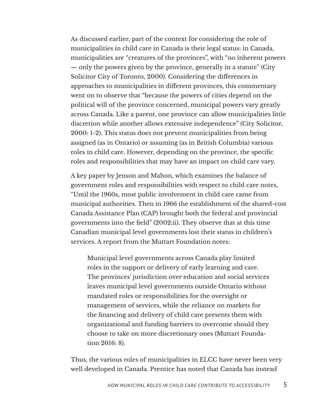As discussed earlier, part of the context for considering the role of municipalities in child care in Canada is their legal status: in Canada, municipalities are "creatures of the provinces", with "no inherent powers — only the powers given by the province, generally in a statute" (City Solicitor City of Toronto, 2000). Considering the differences in approaches to municipalities in different provinces, this commentary went on to observe that "because the powers of cities depend on the political will of the province concerned, municipal powers vary greatly across Canada. Like a parent, one province can allow municipalities little discretion while another allows extensive independence" (City Solicitor, 2000: 1-2). This status does not prevent municipalities from being assigned (as in Ontario) or assuming (as in British Columbia) various roles in child care. However, depending on the province, the specific roles and responsibilities that may have an impact on child care vary.

A key paper by Jenson and Mahon, which examines the balance of government roles and responsibilities with respect to child care notes, "Until the 1960s, most public involvement in child care came from municipal authorities. Then in 1966 the establishment of the shared-cost Canada Assistance Plan (CAP) brought both the federal and provincial governments into the field" (2002:ii). They observe that at this time Canadian municipal level governments lost their status in children's services. A report from the Muttart Foundation notes:

Municipal level governments across Canada play limited roles in the support or delivery of early learning and care. The provinces' jurisdiction over education and social services leaves municipal level governments outside Ontario without mandated roles or responsibilities for the oversight or management of services, while the reliance on markets for the financing and delivery of child care presents them with organizational and funding barriers to overcome should they choose to take on more discretionary ones (Muttart Foundation 2016: 8).

Thus, the various roles of municipalities in ELCC have never been very well developed in Canada. Prentice has noted that Canada has instead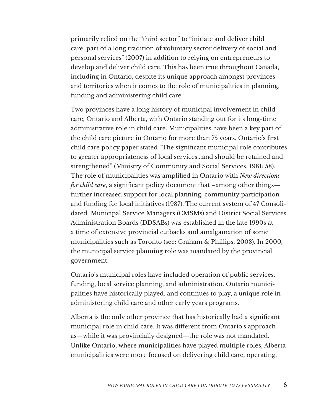primarily relied on the "third sector" to "initiate and deliver child care, part of a long tradition of voluntary sector delivery of social and personal services" (2007) in addition to relying on entrepreneurs to develop and deliver child care. This has been true throughout Canada, including in Ontario, despite its unique approach amongst provinces and territories when it comes to the role of municipalities in planning, funding and administering child care.

Two provinces have a long history of municipal involvement in child care, Ontario and Alberta, with Ontario standing out for its long-time administrative role in child care. Municipalities have been a key part of the child care picture in Ontario for more than 75 years. Ontario's first child care policy paper stated "The significant municipal role contributes to greater appropriateness of local services...and should be retained and strengthened" (Ministry of Community and Social Services, 1981: 58). The role of municipalities was amplified in Ontario with *New directions for child care*, a significant policy document that –among other things further increased support for local planning, community participation and funding for local initiatives (1987). The current system of 47 Consolidated Municipal Service Managers (CMSMs) and District Social Services Administration Boards (DDSABs) was established in the late 1990s at a time of extensive provincial cutbacks and amalgamation of some municipalities such as Toronto (see: Graham & Phillips, 2008). In 2000, the municipal service planning role was mandated by the provincial government.

Ontario's municipal roles have included operation of public services, funding, local service planning, and administration. Ontario municipalities have historically played, and continues to play, a unique role in administering child care and other early years programs.

Alberta is the only other province that has historically had a significant municipal role in child care. It was different from Ontario's approach as—while it was provincially designed—the role was not mandated. Unlike Ontario, where municipalities have played multiple roles, Alberta municipalities were more focused on delivering child care, operating,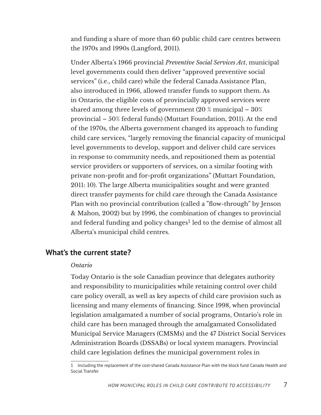and funding a share of more than 60 public child care centres between the 1970s and 1990s (Langford, 2011).

Under Alberta's 1966 provincial *Preventive Social Services Act*, municipal level governments could then deliver "approved preventive social services" (i.e., child care) while the federal Canada Assistance Plan, also introduced in 1966, allowed transfer funds to support them. As in Ontario, the eligible costs of provincially approved services were shared among three levels of government (20 % municipal – 30% provincial – 50% federal funds) (Muttart Foundation, 2011). At the end of the 1970s, the Alberta government changed its approach to funding child care services, "largely removing the financial capacity of municipal level governments to develop, support and deliver child care services in response to community needs, and repositioned them as potential service providers or supporters of services, on a similar footing with private non-profit and for-profit organizations" (Muttart Foundation, 2011: 10). The large Alberta municipalities sought and were granted direct transfer payments for child care through the Canada Assistance Plan with no provincial contribution (called a "flow-through" by Jenson & Mahon, 2002) but by 1996, the combination of changes to provincial and federal funding and policy changes<sup>1</sup> led to the demise of almost all Alberta's municipal child centres.

#### **What's the current state?**

#### *Ontario*

Today Ontario is the sole Canadian province that delegates authority and responsibility to municipalities while retaining control over child care policy overall, as well as key aspects of child care provision such as licensing and many elements of financing. Since 1998, when provincial legislation amalgamated a number of social programs, Ontario's role in child care has been managed through the amalgamated Consolidated Municipal Service Managers (CMSMs) and the 47 District Social Services Administration Boards (DSSABs) or local system managers. Provincial child care legislation defines the municipal government roles in

<sup>1</sup> Including the replacement of the cost-shared Canada Assistance Plan with the block fund Canada Health and Social Transfer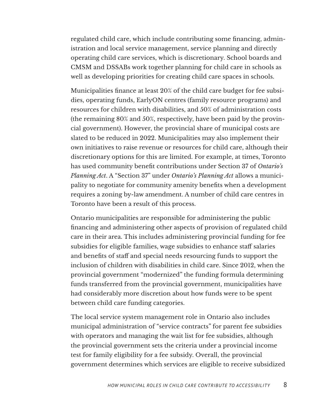regulated child care, which include contributing some financing, administration and local service management, service planning and directly operating child care services, which is discretionary. School boards and CMSM and DSSABs work together planning for child care in schools as well as developing priorities for creating child care spaces in schools.

Municipalities finance at least 20% of the child care budget for fee subsidies, operating funds, EarlyON centres (family resource programs) and resources for children with disabilities, and 50% of administration costs (the remaining 80% and 50%, respectively, have been paid by the provincial government). However, the provincial share of municipal costs are slated to be reduced in 2022. Municipalities may also implement their own initiatives to raise revenue or resources for child care, although their discretionary options for this are limited. For example, at times, Toronto has used community benefit contributions under Section 37 of *Ontario's Planning Act*. A "Section 37" under *Ontario's Planning Act* allows a municipality to negotiate for community amenity benefits when a development requires a zoning by-law amendment. A number of child care centres in Toronto have been a result of this process.

Ontario municipalities are responsible for administering the public financing and administering other aspects of provision of regulated child care in their area. This includes administering provincial funding for fee subsidies for eligible families, wage subsidies to enhance staff salaries and benefits of staff and special needs resourcing funds to support the inclusion of children with disabilities in child care. Since 2012, when the provincial government "modernized" the funding formula determining funds transferred from the provincial government, municipalities have had considerably more discretion about how funds were to be spent between child care funding categories.

The local service system management role in Ontario also includes municipal administration of "service contracts" for parent fee subsidies with operators and managing the wait list for fee subsidies, although the provincial government sets the criteria under a provincial income test for family eligibility for a fee subsidy. Overall, the provincial government determines which services are eligible to receive subsidized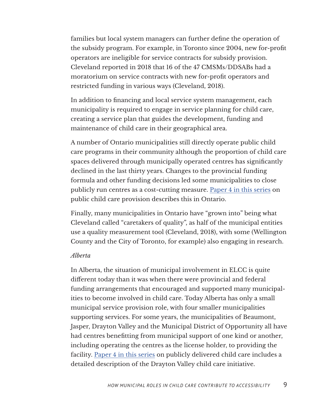families but local system managers can further define the operation of the subsidy program. For example, in Toronto since 2004, new for-profit operators are ineligible for service contracts for subsidy provision. Cleveland reported in 2018 that 16 of the 47 CMSMs/DDSABs had a moratorium on service contracts with new for-profit operators and restricted funding in various ways (Cleveland, 2018).

In addition to financing and local service system management, each municipality is required to engage in service planning for child care, creating a service plan that guides the development, funding and maintenance of child care in their geographical area.

A number of Ontario municipalities still directly operate public child care programs in their community although the proportion of child care spaces delivered through municipally operated centres has significantly declined in the last thirty years. Changes to the provincial funding formula and other funding decisions led some municipalities to close publicly run centres as a cost-cutting measure. [Paper 4 in this series](https://childcarecanada.org/publications/other-publications/22/02/how-publicly-delivered-child-care-services-contribute) on public child care provision describes this in Ontario.

Finally, many municipalities in Ontario have "grown into" being what Cleveland called "caretakers of quality", as half of the municipal entities use a quality measurement tool (Cleveland, 2018), with some (Wellington County and the City of Toronto, for example) also engaging in research.

#### *Alberta*

In Alberta, the situation of municipal involvement in ELCC is quite different today than it was when there were provincial and federal funding arrangements that encouraged and supported many municipalities to become involved in child care. Today Alberta has only a small municipal service provision role, with four smaller municipalities supporting services. For some years, the municipalities of Beaumont, Jasper, Drayton Valley and the Municipal District of Opportunity all have had centres benefitting from municipal support of one kind or another, including operating the centres as the license holder, to providing the facility. [Paper 4 in this series](https://childcarecanada.org/publications/other-publications/22/02/how-publicly-delivered-child-care-services-contribute) on publicly delivered child care includes a detailed description of the Drayton Valley child care initiative.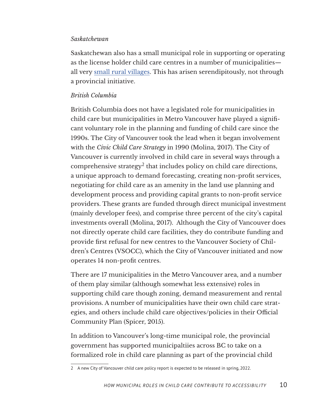#### *Saskatchewan*

Saskatchewan also has a small municipal role in supporting or operating as the license holder child care centres in a number of municipalities all very [small rural villages.](https://archive.cupe.ca/updir/Public_profile_Vibank.pdf) This has arisen serendipitously, not through a provincial initiative.

#### *British Columbia*

British Columbia does not have a legislated role for municipalities in child care but municipalities in Metro Vancouver have played a significant voluntary role in the planning and funding of child care since the 1990s. The City of Vancouver took the lead when it began involvement with the *Civic Child Care Strategy* in 1990 (Molina, 2017). The City of Vancouver is currently involved in child care in several ways through a comprehensive strategy<sup>2</sup> that includes policy on child care directions, a unique approach to demand forecasting, creating non-profit services, negotiating for child care as an amenity in the land use planning and development process and providing capital grants to non-profit service providers. These grants are funded through direct municipal investment (mainly developer fees), and comprise three percent of the city's capital investments overall (Molina, 2017). Although the City of Vancouver does not directly operate child care facilities, they do contribute funding and provide first refusal for new centres to the Vancouver Society of Children's Centres (VSOCC), which the City of Vancouver initiated and now operates 14 non-profit centres.

There are 17 municipalities in the Metro Vancouver area, and a number of them play similar (although somewhat less extensive) roles in supporting child care though zoning, demand measurement and rental provisions. A number of municipalities have their own child care strategies, and others include child care objectives/policies in their Official Community Plan (Spicer, 2015).

In addition to Vancouver's long-time municipal role, the provincial government has supported municipaltiies across BC to take on a formalized role in child care planning as part of the provincial child

<sup>2</sup> A new City of Vancouver child care policy report is expected to be released in spring, 2022.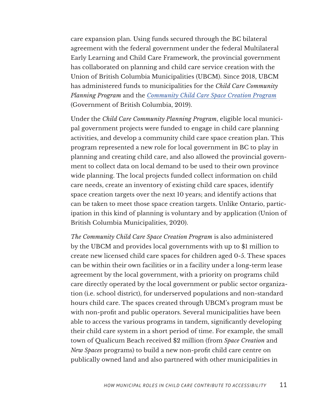care expansion plan. Using funds secured through the BC bilateral agreement with the federal government under the federal Multilateral Early Learning and Child Care Framework, the provincial government has collaborated on planning and child care service creation with the Union of British Columbia Municipalities (UBCM). Since 2018, UBCM has administered funds to municipalities for the *Child Care Community Planning Program* and the *[Community Child Care Space Creation Program](https://www2.gov.bc.ca/assets/gov/family-and-social-supports/child-care/running-a-daycare-or-preschool/ubcm-newspaces-infographic.pdf)* (Government of British Columbia, 2019).

Under the *Child Care Community Planning Program*, eligible local municipal government projects were funded to engage in child care planning activities, and develop a community child care space creation plan. This program represented a new role for local government in BC to play in planning and creating child care, and also allowed the provincial government to collect data on local demand to be used to their own province wide planning. The local projects funded collect information on child care needs, create an inventory of existing child care spaces, identify space creation targets over the next 10 years; and identify actions that can be taken to meet those space creation targets. Unlike Ontario, participation in this kind of planning is voluntary and by application (Union of British Columbia Municipalities, 2020).

*The Community Child Care Space Creation Program* is also administered by the UBCM and provides local governments with up to \$1 million to create new licensed child care spaces for children aged 0-5. These spaces can be within their own facilities or in a facility under a long-term lease agreement by the local government, with a priority on programs child care directly operated by the local government or public sector organization (i.e. school district), for underserved populations and non-standard hours child care. The spaces created through UBCM's program must be with non-profit and public operators. Several municipalities have been able to access the various programs in tandem, significantly developing their child care system in a short period of time. For example, the small town of Qualicum Beach received \$2 million (from *Space Creation* and *New Spaces* programs) to build a new non-profit child care centre on publically owned land and also partnered with other municipalities in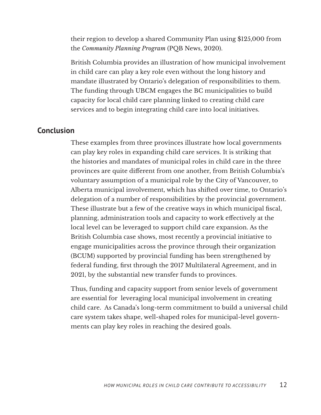their region to develop a shared Community Plan using \$125,000 from the *Community Planning Program* (PQB News, 2020).

British Columbia provides an illustration of how municipal involvement in child care can play a key role even without the long history and mandate illustrated by Ontario's delegation of responsibilities to them. The funding through UBCM engages the BC municipalities to build capacity for local child care planning linked to creating child care services and to begin integrating child care into local initiatives.

#### **Conclusion**

These examples from three provinces illustrate how local governments can play key roles in expanding child care services. It is striking that the histories and mandates of municipal roles in child care in the three provinces are quite different from one another, from British Columbia's voluntary assumption of a municipal role by the City of Vancouver, to Alberta municipal involvement, which has shifted over time, to Ontario's delegation of a number of responsibilities by the provincial government. These illustrate but a few of the creative ways in which municipal fiscal, planning, administration tools and capacity to work effectively at the local level can be leveraged to support child care expansion. As the British Columbia case shows, most recently a provincial initiative to engage municipalities across the province through their organization (BCUM) supported by provincial funding has been strengthened by federal funding, first through the 2017 Multilateral Agreement, and in 2021, by the substantial new transfer funds to provinces.

Thus, funding and capacity support from senior levels of government are essential for leveraging local municipal involvement in creating child care. As Canada's long-term commitment to build a universal child care system takes shape, well-shaped roles for municipal-level governments can play key roles in reaching the desired goals.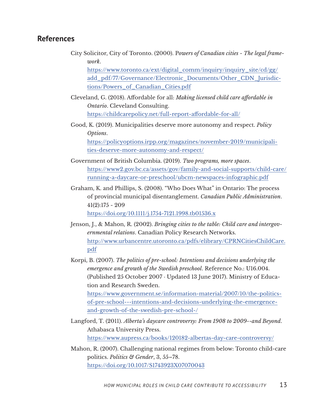#### **References**

City Solicitor, City of Toronto. (2000). P*owers of Canadian cities - The legal framework*.

https://www.toronto.ca/ext/digital\_comm/inquiry/inquiry\_site/cd/gg/ add\_pdf/77/Governance/Electronic\_Documents/Other\_CDN\_Jurisdictions/Powers\_of\_Canadian\_Cities.pdf

- Cleveland, G. (2018). Affordable for all: *Making licensed child care affordable in Ontario*. Cleveland Consulting. <https://childcarepolicy.net/full-report-affordable-for-all/>
- Good, K. (2019). Municipalities deserve more autonomy and respect. *Policy Options*. [https://policyoptions.irpp.org/magazines/november-2019/municipali-](https://policyoptions.irpp.org/magazines/november-2019/municipalities-deserve-more-autonomy-and-resp)

[ties-deserve-more-autonomy-and-respect/](https://policyoptions.irpp.org/magazines/november-2019/municipalities-deserve-more-autonomy-and-resp)

- Government of British Columbia. (2019). *Two programs, more spaces*. [https://www2.gov.bc.ca/assets/gov/family-and-social-supports/child-care/](https://www2.gov.bc.ca/assets/gov/family-and-social-supports/child-care/running-a-daycare-or-preschool/ubcm-newspaces-infographic.pdf
) [running-a-daycare-or-preschool/ubcm-newspaces-infographic.pdf](https://www2.gov.bc.ca/assets/gov/family-and-social-supports/child-care/running-a-daycare-or-preschool/ubcm-newspaces-infographic.pdf
)
- Graham, K. and Phillips, S. (2008). "Who Does What" in Ontario: The process of provincial municipal disentanglement. *Canadian Public Administration*. 41(2):175 - 209 <https://doi.org/10.1111/j.1754-7121.1998.tb01536.x>

Jenson, J., & Mahon, R. (2002). *Bringing cities to the table: Child care and intergovernmental relations*. Canadian Policy Research Networks. [http://www.urbancentre.utoronto.ca/pdfs/elibrary/CPRNCitiesChildCare.](http://www.urbancentre.utoronto.ca/pdfs/elibrary/CPRNCitiesChildCare.pdf)

[pdf](http://www.urbancentre.utoronto.ca/pdfs/elibrary/CPRNCitiesChildCare.pdf)

Korpi, B. (2007). *The politics of pre-school: Intentions and decisions underlying the emergence and growth of the Swedish preschool*. Reference No.: U16.004. (Published 25 October 2007 · Updated 13 June 2017). Ministry of Education and Research Sweden.

[https://www.government.se/information-material/2007/10/the-politics](https://www.government.se/information-material/2007/10/the-politics-of-pre-school---intentions-and-decisions-underlying-the-emergence-and-growth-of-the-swedish-pre-school-/)[of-pre-school---intentions-and-decisions-underlying-the-emergence](https://www.government.se/information-material/2007/10/the-politics-of-pre-school---intentions-and-decisions-underlying-the-emergence-and-growth-of-the-swedish-pre-school-/)[and-growth-of-the-swedish-pre-school-/](https://www.government.se/information-material/2007/10/the-politics-of-pre-school---intentions-and-decisions-underlying-the-emergence-and-growth-of-the-swedish-pre-school-/) 

- Langford, T. (2011). *Alberta's daycare controversy: From 1908 to 2009--and Beyond*. Athabasca University Press. <https://www.aupress.ca/books/120182-albertas-day-care-controversy/>
- Mahon, R. (2007). Challenging national regimes from below: Toronto child-care politics. *Politics & Gender*, 3, 55–78. <https://doi.org/10.1017/S1743923X07070043>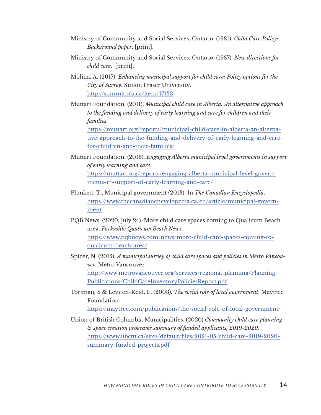- Ministry of Community and Social Services, Ontario. (1981). *Child Care Policy: Background paper*. [print].
- Ministry of Community and Social Services, Ontario. (1987). *New directions for child care*. [print].
- Molina, A. (2017). *Enhancing municipal support for child care: Policy options for the City of Surrey*. Simon Fraser University. <http://summit.sfu.ca/item/17133>
- Muttart Foundation. (2011). *Municipal child care in Alberta: An alternative approach to the funding and delivery of early learning and care for children and their families*.

[https://muttart.org/reports/municipal-child-care-in-alberta-an-alterna](https://muttart.org/reports/municipal-child-care-in-alberta-an-alternative-approach-to-the-funding-and-delivery-of-early-learning-and-care-for-children-and-their-families/)[tive-approach-to-the-funding-and-delivery-of-early-learning-and-care](https://muttart.org/reports/municipal-child-care-in-alberta-an-alternative-approach-to-the-funding-and-delivery-of-early-learning-and-care-for-children-and-their-families/)[for-children-and-their-families/](https://muttart.org/reports/municipal-child-care-in-alberta-an-alternative-approach-to-the-funding-and-delivery-of-early-learning-and-care-for-children-and-their-families/)

- Muttart Foundation. (2016). *Engaging Alberta municipal level governments in support of early learning and care*. [https://muttart.org/reports/engaging-alberta-municipal-level-govern](https://muttart.org/reports/engaging-alberta-municipal-level-governments-in-support-of-early-learning-and-care/)[ments-in-support-of-early-learning-and-care/](https://muttart.org/reports/engaging-alberta-municipal-level-governments-in-support-of-early-learning-and-care/)
- Plunkett, T., Municipal government (2013). In *The Canadian Encyclopedia*. [https://www.thecanadianencyclopedia.ca/en/article/municipal-govern](https://www.thecanadianencyclopedia.ca/en/article/municipal-government)[ment](https://www.thecanadianencyclopedia.ca/en/article/municipal-government)
- PQB News. (2020, July 24). More child care spaces coming to Qualicum Beach area. *Parksville Qualicum Beach News*. [https://www.pqbnews.com/news/more-child-care-spaces-coming-to](https://www.pqbnews.com/news/more-child-care-spaces-coming-to-qualicum-beach-area/)[qualicum-beach-area/](https://www.pqbnews.com/news/more-child-care-spaces-coming-to-qualicum-beach-area/)
- Spicer, N. (2015). *A municipal survey of child care spaces and policies in Metro Vancouver*. Metro Vancouver. http://www.metrovancouver.org/services/regional-planning/Planning-Publications/ChildCareInventoryPoliciesReport.pdf
- Torjman, S & Leviten-Reid, E. (2003). *The social role of local government*. Maytree Foundation.

<https://maytree.com/publications/the-social-role-of-local-government/>

Union of British Columbia Municipalities. (2020) *Community child care planning & space creation programs summary of funded applicants, 2019-2020*. [https://www.ubcm.ca/sites/default/files/2021-05/child-care-2019-2020](https://www.ubcm.ca/sites/default/files/2021-05/child-care-2019-2020-summary-funded-projects.pdf) [summary-funded-projects.pdf](https://www.ubcm.ca/sites/default/files/2021-05/child-care-2019-2020-summary-funded-projects.pdf)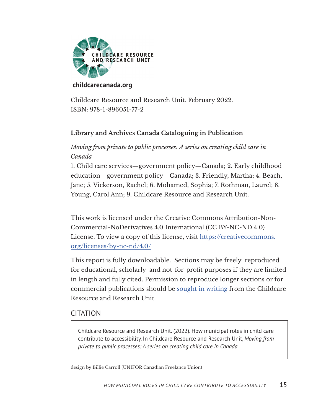

#### **[childcarecanada.org](https://childcarecanada.org)**

Childcare Resource and Research Unit. February 2022. ISBN: 978-1-896051-77-2

#### **Library and Archives Canada Cataloguing in Publication**

#### *Moving from private to public processes: A series on creating child care in Canada*

1. Child care services—government policy—Canada; 2. Early childhood education—government policy—Canada; 3. Friendly, Martha; 4. Beach, Jane; 5. Vickerson, Rachel; 6. Mohamed, Sophia; 7. Rothman, Laurel; 8. Young, Carol Ann; 9. Childcare Resource and Research Unit.

This work is licensed under the Creative Commons Attribution-Non-Commercial-NoDerivatives 4.0 International (CC BY-NC-ND 4.0) License. To view a copy of this license, visit https://creativecommons. org/licenses/by-nc-nd/4.0/

This report is fully downloadable. Sections may be freely reproduced for educational, scholarly and not-for-profit purposes if they are limited in length and fully cited. Permission to reproduce longer sections or for commercial publications should be sought in writing from the Childcare Resource and Research Unit.

#### CITATION

Childcare Resource and Research Unit. (2022). How municipal roles in child care contribute to accessibility. In Childcare Resource and Research Unit, *Moving from private to public processes: A series on creating child care in Canada*.

design by Billie Carroll (UNIFOR Canadian Freelance Union)